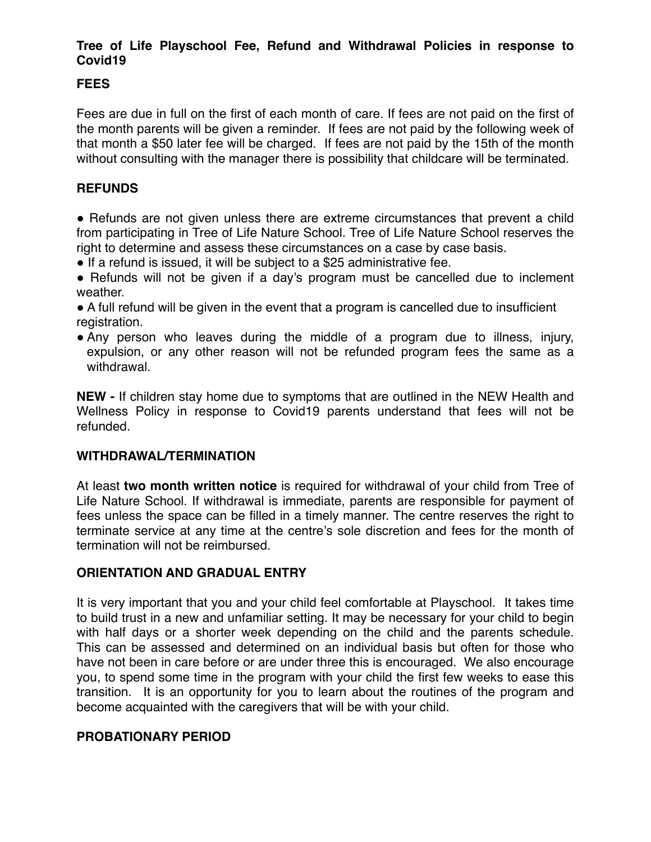# **Tree of Life Playschool Fee, Refund and Withdrawal Policies in response to Covid19**

# **FEES**

Fees are due in full on the first of each month of care. If fees are not paid on the first of the month parents will be given a reminder. If fees are not paid by the following week of that month a \$50 later fee will be charged. If fees are not paid by the 15th of the month without consulting with the manager there is possibility that childcare will be terminated.

# **REFUNDS**

• Refunds are not given unless there are extreme circumstances that prevent a child from participating in Tree of Life Nature School. Tree of Life Nature School reserves the right to determine and assess these circumstances on a case by case basis.

- If a refund is issued, it will be subject to a \$25 administrative fee.
- Refunds will not be given if a day's program must be cancelled due to inclement weather.
- A full refund will be given in the event that a program is cancelled due to insufficient registration.
- Any person who leaves during the middle of a program due to illness, injury, expulsion, or any other reason will not be refunded program fees the same as a withdrawal.

**NEW -** If children stay home due to symptoms that are outlined in the NEW Health and Wellness Policy in response to Covid19 parents understand that fees will not be refunded.

### **WITHDRAWAL/TERMINATION**

At least **two month written notice** is required for withdrawal of your child from Tree of Life Nature School. If withdrawal is immediate, parents are responsible for payment of fees unless the space can be filled in a timely manner. The centre reserves the right to terminate service at any time at the centre's sole discretion and fees for the month of termination will not be reimbursed.

# **ORIENTATION AND GRADUAL ENTRY**

It is very important that you and your child feel comfortable at Playschool. It takes time to build trust in a new and unfamiliar setting. It may be necessary for your child to begin with half days or a shorter week depending on the child and the parents schedule. This can be assessed and determined on an individual basis but often for those who have not been in care before or are under three this is encouraged. We also encourage you, to spend some time in the program with your child the first few weeks to ease this transition. It is an opportunity for you to learn about the routines of the program and become acquainted with the caregivers that will be with your child.

### **PROBATIONARY PERIOD**